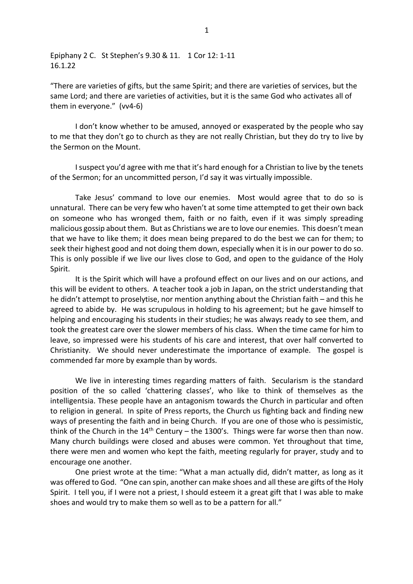Epiphany 2 C. St Stephen's 9.30 & 11. 1 Cor 12: 1-11 16.1.22

"There are varieties of gifts, but the same Spirit; and there are varieties of services, but the same Lord; and there are varieties of activities, but it is the same God who activates all of them in everyone." (vv4-6)

I don't know whether to be amused, annoyed or exasperated by the people who say to me that they don't go to church as they are not really Christian, but they do try to live by the Sermon on the Mount.

I suspect you'd agree with me that it's hard enough for a Christian to live by the tenets of the Sermon; for an uncommitted person, I'd say it was virtually impossible.

Take Jesus' command to love our enemies. Most would agree that to do so is unnatural. There can be very few who haven't at some time attempted to get their own back on someone who has wronged them, faith or no faith, even if it was simply spreading malicious gossip about them. But as Christians we are to love our enemies. This doesn't mean that we have to like them; it does mean being prepared to do the best we can for them; to seek their highest good and not doing them down, especially when it is in our power to do so. This is only possible if we live our lives close to God, and open to the guidance of the Holy Spirit.

It is the Spirit which will have a profound effect on our lives and on our actions, and this will be evident to others. A teacher took a job in Japan, on the strict understanding that he didn't attempt to proselytise, nor mention anything about the Christian faith – and this he agreed to abide by. He was scrupulous in holding to his agreement; but he gave himself to helping and encouraging his students in their studies; he was always ready to see them, and took the greatest care over the slower members of his class. When the time came for him to leave, so impressed were his students of his care and interest, that over half converted to Christianity. We should never underestimate the importance of example. The gospel is commended far more by example than by words.

We live in interesting times regarding matters of faith. Secularism is the standard position of the so called 'chattering classes', who like to think of themselves as the intelligentsia. These people have an antagonism towards the Church in particular and often to religion in general. In spite of Press reports, the Church us fighting back and finding new ways of presenting the faith and in being Church. If you are one of those who is pessimistic, think of the Church in the  $14<sup>th</sup>$  Century – the 1300's. Things were far worse then than now. Many church buildings were closed and abuses were common. Yet throughout that time, there were men and women who kept the faith, meeting regularly for prayer, study and to encourage one another.

One priest wrote at the time: "What a man actually did, didn't matter, as long as it was offered to God. "One can spin, another can make shoes and all these are gifts of the Holy Spirit. I tell you, if I were not a priest, I should esteem it a great gift that I was able to make shoes and would try to make them so well as to be a pattern for all."